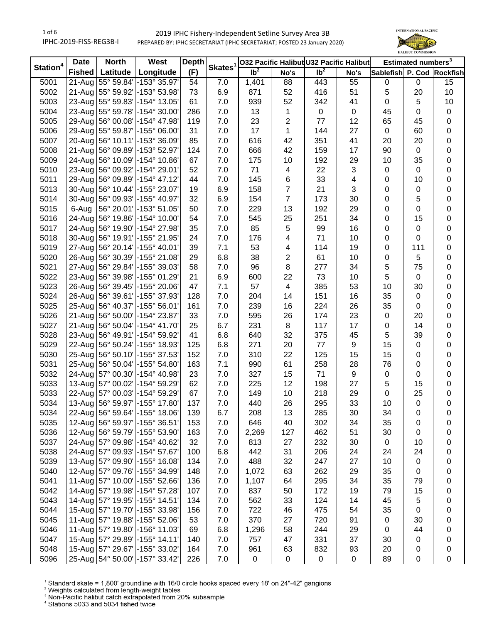

|                      | <b>Date</b>   | <b>North</b><br>West |                                    | <b>Depth</b> |                     |                            | <b>032 Pacific Halibut U32 Pacific Halibut</b> |                 |                | Estimated numbers <sup>3</sup> |             |    |
|----------------------|---------------|----------------------|------------------------------------|--------------|---------------------|----------------------------|------------------------------------------------|-----------------|----------------|--------------------------------|-------------|----|
| Station <sup>4</sup> | <b>Fished</b> | Latitude $ $         | Longitude                          | (F)          | Skates <sup>1</sup> | $\overline{\mathsf{lb}^2}$ | No's                                           | Ib <sup>2</sup> | No's           | Sablefish P. Cod Rockfish      |             |    |
| 5001                 | $21-Au$ g     |                      | 55° 59.84' - 153° 35.97'           | 54           | 7.0                 | 1,401                      | 88                                             | 443             | 55             | 0                              | 0           | 15 |
| 5002                 |               |                      | 21-Aug 55° 59.92' - 153° 53.98'    | 73           | 6.9                 | 871                        | 52                                             | 416             | 51             | 5                              | 20          | 10 |
| 5003                 |               |                      | 23-Aug 55° 59.83' - 154° 13.05'    | 61           | 7.0                 | 939                        | 52                                             | 342             | 41             | 0                              | 5           | 10 |
| 5004                 |               |                      | 23-Aug 55° 59.78' - 154° 30.00'    | 286          | 7.0                 | 13                         | 1                                              | $\mathbf 0$     | $\mathbf 0$    | 45                             | 0           | 0  |
| 5005                 |               |                      | 29-Aug 56° 00.08' - 154° 47.98'    | 119          | 7.0                 | 23                         | 2                                              | 77              | 12             | 65                             | 45          | 0  |
| 5006                 |               |                      | 29-Aug 55° 59.87' - 155° 06.00'    | 31           | 7.0                 | 17                         | 1                                              | 144             | 27             | $\boldsymbol{0}$               | 60          | 0  |
| 5007                 |               |                      | 20-Aug 56° 10.11' - 153° 36.09'    | 85           | 7.0                 | 616                        | 42                                             | 351             | 41             | 20                             | 20          | 0  |
| 5008                 |               |                      | 21-Aug 56° 09.89' - 153° 52.97'    | 124          | 7.0                 | 666                        | 42                                             | 159             | 17             | 90                             | $\pmb{0}$   | 0  |
| 5009                 | 24-Aug        |                      | 156° 10.09' -154° 10.86∣           | 67           | 7.0                 | 175                        | 10                                             | 192             | 29             | 10                             | 35          | 0  |
| 5010                 | 23-Aug        |                      | 56° 09.92' -154° 29.01'            | 52           | 7.0                 | 71                         | 4                                              | 22              | $\sqrt{3}$     | 0                              | $\mathbf 0$ | 0  |
| 5011                 | 29-Aug        |                      | 56° 09.89' -154° 47.12'            | 44           | 7.0                 | 145                        | 6                                              | 33              | $\overline{4}$ | 0                              | 10          | 0  |
| 5013                 | 30-Aug        |                      | 56° 10.44' -155° 23.07'            | 19           | 6.9                 | 158                        | 7                                              | 21              | 3              | 0                              | 0           | 0  |
| 5014                 | 30-Aug        |                      | 56° 09.93' - 155° 40.97'           | 32           | 6.9                 | 154                        | $\overline{7}$                                 | 173             | 30             | 0                              | 5           | 0  |
| 5015                 | 6-Aug         |                      | 56° 20.01' - 153° 51.05'           | 50           | 7.0                 | 229                        | 13                                             | 192             | 29             | 0                              | 0           | 0  |
| 5016                 | 24-Aug        |                      | 156° 19.86' -154° 10.00'           | 54           | 7.0                 | 545                        | 25                                             | 251             | 34             | 0                              | 15          | 0  |
| 5017                 |               |                      | 24-Aug 56° 19.90' - 154° 27.98'    | 35           | 7.0                 | 85                         | 5                                              | 99              | 16             | 0                              | 0           | 0  |
| 5018                 | 30-Aug        |                      | 56° 19.91' -155° 21.95'            | 24           | 7.0                 | 176                        | 4                                              | 71              | 10             | 0                              | 0           | 0  |
| 5019                 | 27-Aug        |                      | 56° 20.14' -155° 40.01'            | 39           | 7.1                 | 53                         | 4                                              | 114             | 19             | 0                              | 111         | 0  |
| 5020                 |               |                      | 26-Aug 56° 30.39' -155° 21.08'     | 29           | 6.8                 | 38                         | 2                                              | 61              | 10             | 0                              | 5           | 0  |
| 5021                 |               |                      | 27-Aug 56° 29.84' - 155° 39.03'    | 58           | 7.0                 | 96                         | 8                                              | 277             | 34             | 5                              | 75          | 0  |
| 5022                 |               |                      | 23-Aug 56° 39.98' - 155° 01.29'    | 21           | 6.9                 | 600                        | 22                                             | 73              | 10             | 5                              | 0           | 0  |
| 5023                 |               |                      | 26-Aug 56° 39.45' - 155° 20.06'    | 47           | 7.1                 | 57                         | 4                                              | 385             | 53             | 10                             | 30          | 0  |
| 5024                 |               |                      | 26-Aug 56° 39.61' - 155° 37.93'    | 128          | 7.0                 | 204                        | 14                                             | 151             | 16             | 35                             | $\pmb{0}$   | 0  |
| 5025                 |               |                      | 25-Aug 56° 40.37' - 155° 56.01'    | 161          | 7.0                 | 239                        | 16                                             | 224             | 26             | 35                             | 0           | 0  |
| 5026                 |               |                      | 21-Aug 56° 50.00' - 154° 23.87'    | 33           | 7.0                 | 595                        | 26                                             | 174             | 23             | $\boldsymbol{0}$               | 20          | 0  |
| 5027                 | 21-Aug        |                      | 56° 50.04' -154° 41.70'            | 25           | 6.7                 | 231                        | $\,8\,$                                        | 117             | 17             | $\pmb{0}$                      | 14          | 0  |
| 5028                 | 23-Aug        |                      | 56° 49.91' -154° 59.92'            | 41           | 6.8                 | 640                        | 32                                             | 375             | 45             | 5                              | 39          | 0  |
| 5029                 | 22-Aug        |                      | 56° 50.24' -155° 18.93'            | 125          | 6.8                 | 271                        | 20                                             | $77 \,$         | 9              | 15                             | $\pmb{0}$   | 0  |
| 5030                 | 25-Aug        |                      | 56° 50.10' -155° 37.53'            | 152          | 7.0                 | 310                        | 22                                             | 125             | 15             | 15                             | 0           | 0  |
| 5031                 | 25-Aug        |                      | 56° 50.04' - 155° 54.80'           | 163          | 7.1                 | 990                        | 61                                             | 258             | 28             | 76                             | 0           | 0  |
| 5032                 |               |                      | 24-Aug 57° 00.30' - 154° 40.98'    | 23           | 7.0                 | 327                        | 15                                             | 71              | 9              | 0                              | 0           | 0  |
| 5033                 |               |                      | 13-Aug 57° 00.02' - 154° 59.29'    | 62           | 7.0                 | 225                        | 12                                             | 198             | 27             | 5                              | 15          | 0  |
| 5033                 |               |                      | 22-Aug   57° 00.03' - 154° 59.29'  | 67           | 7.0                 | 149                        | 10                                             | 218             | 29             | 0                              | 25          | 0  |
| 5034                 |               |                      | 13-Aug 56° 59.97' - 155° 17.80'    | 137          | 7.0                 | 440                        | 26                                             | 295             | 33             | 10                             | 0           | 0  |
| 5034                 |               |                      | 22-Aug 56° 59.64' - 155° 18.06'    | 139          | 6.7                 | 208                        | 13                                             | 285             | 30             | 34                             | 0           | 0  |
| 5035                 |               |                      | 12-Aug 56° 59.97' - 155° 36.51'    | 153          | 7.0                 | 646                        | 40                                             | 302             | 34             | 35                             | 0           | 0  |
| 5036                 |               |                      | 12-Aug 56° 59.79' - 155° 53.90'    | 163          | 7.0                 | 2,269                      | 127                                            | 462             | 51             | 30                             | 0           | 0  |
| 5037                 |               |                      | 24-Aug 57° 09.98' - 154° 40.62'    | 32           | 7.0                 | 813                        | 27                                             | 232             | 30             | 0                              | 10          | 0  |
| 5038                 |               |                      | 24-Aug 57° 09.93' -154° 57.67'     | 100          | 6.8                 | 442                        | 31                                             | 206             | 24             | 24                             | 24          | 0  |
| 5039                 |               |                      | 13-Aug 57° 09.90' - 155° 16.08'    | 134          | 7.0                 | 488                        | 32                                             | 247             | 27             | 10                             | 0           | 0  |
| 5040                 |               |                      | 12-Aug   57° 09.76' - 155° 34.99'  | 148          | 7.0                 | 1,072                      | 63                                             | 262             | 29             | 35                             | 0           | 0  |
| 5041                 |               |                      | 11-Aug   57° 10.00' - 155° 52.66'  | 136          | 7.0                 | 1,107                      | 64                                             | 295             | 34             | 35                             | 79          | 0  |
| 5042                 |               |                      | 14-Aug   57° 19.98'   -154° 57.28' | 107          | 7.0                 | 837                        | 50                                             | 172             | 19             | 79                             | 15          | 0  |
| 5043                 |               |                      | 14-Aug   57° 19.95'   -155° 14.51' | 134          | 7.0                 | 562                        | 33                                             | 124             | 14             | 45                             | 5           | 0  |
| 5044                 |               |                      | 15-Aug 57° 19.70' - 155° 33.98'    | 156          | 7.0                 | 722                        | 46                                             | 475             | 54             | 35                             | 0           | 0  |
| 5045                 |               |                      | 11-Aug 57° 19.88' - 155° 52.06'    | 53           | 7.0                 | 370                        | 27                                             | 720             | 91             | 0                              | 30          | 0  |
| 5046                 |               |                      | 11-Aug 57° 19.80' - 156° 11.03'    | 69           | 6.8                 | 1,296                      | 58                                             | 244             | 29             | 0                              | 44          | 0  |
| 5047                 |               |                      | 15-Aug 57° 29.89' - 155° 14.11'    | 140          | 7.0                 | 757                        | 47                                             | 331             | 37             | 30                             | 0           | 0  |
| 5048                 |               |                      | 15-Aug 57° 29.67' - 155° 33.02'    | 164          | 7.0                 | 961                        | 63                                             | 832             | 93             | 20                             | 0           | 0  |
| 5096                 |               |                      | 25-Aug 54° 50.00' - 157° 33.42'    | 226          | 7.0                 | $\pmb{0}$                  | 0                                              | $\pmb{0}$       | $\pmb{0}$      | 89                             | 0           | 0  |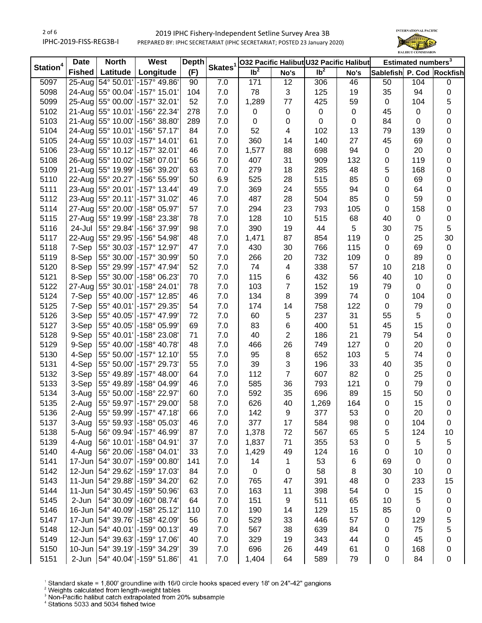

|                      | <b>North</b><br>West<br><b>Depth</b><br><b>Date</b><br>Skates <sup>1</sup> |                     |                                 |     |         | 032 Pacific Halibut U32 Pacific Halibut |                | Estimated numbers <sup>3</sup> |      |                           |           |    |
|----------------------|----------------------------------------------------------------------------|---------------------|---------------------------------|-----|---------|-----------------------------------------|----------------|--------------------------------|------|---------------------------|-----------|----|
| Station <sup>4</sup> | <b>Fished</b>                                                              | Latitude            | Longitude                       | (F) |         | $\overline{\mathsf{lb}^2}$              | No's           | $\overline{1}b^2$              | No's | Sablefish P. Cod Rockfish |           |    |
| 5097                 | $25$ -Aug                                                                  | 54° 50.01'          | -157° 49.86'                    | 90  | 7.0     | 171                                     | 12             | 306                            | 46   | 50                        | 104       | 0  |
| 5098                 |                                                                            |                     | 24-Aug 55° 00.04' - 157° 15.01' | 104 | 7.0     | 78                                      | 3              | 125                            | 19   | 35                        | 94        | 0  |
| 5099                 | 25-Aug                                                                     |                     | 55° 00.00' -157° 32.01'         | 52  | 7.0     | 1,289                                   | 77             | 425                            | 59   | $\mathbf 0$               | 104       | 5  |
| 5102                 |                                                                            |                     | 21-Aug 55° 10.01' - 156° 22.34' | 278 | 7.0     | $\pmb{0}$                               | $\pmb{0}$      | $\pmb{0}$                      | 0    | 45                        | 0         | 0  |
| 5103                 |                                                                            | 21-Aug 55° 10.00'   | -156° 38.80'                    | 289 | 7.0     | $\pmb{0}$                               | 0              | $\pmb{0}$                      | 0    | 84                        | 0         | 0  |
| 5104                 |                                                                            |                     | 24-Aug 55° 10.01' - 156° 57.17' | 84  | 7.0     | 52                                      | 4              | 102                            | 13   | 79                        | 139       | 0  |
| 5105                 |                                                                            | 24-Aug 55° 10.03'   | -157° 14.01'                    | 61  | $7.0\,$ | 360                                     | 14             | 140                            | 27   | 45                        | 69        | 0  |
| 5106                 |                                                                            | 23-Aug 55° 10.12'   | -157° 32.01'                    | 46  | 7.0     | 1,577                                   | 88             | 698                            | 94   | $\pmb{0}$                 | 20        | 0  |
| 5108                 |                                                                            | 26-Aug 55° 10.02'   | -158° 07.01'                    | 56  | 7.0     | 407                                     | 31             | 909                            | 132  | 0                         | 119       | 0  |
| 5109                 |                                                                            | 21-Aug 55° 19.99'   | -156° 39.20'                    | 63  | 7.0     | 279                                     | 18             | 285                            | 48   | 5                         | 168       | 0  |
| 5110                 | 22-Aug                                                                     | 55° 20.27'          | -156° 55.99'                    | 50  | 6.9     | 525                                     | 28             | 515                            | 85   | 0                         | 69        | 0  |
| 5111                 | 23-Aug                                                                     | 55° 20.01'          | -157° 13.44'                    | 49  | 7.0     | 369                                     | 24             | 555                            | 94   | $\boldsymbol{0}$          | 64        | 0  |
| 5112                 | 23-Aug                                                                     | 55° 20.11'          | -157° 31.02'                    | 46  | 7.0     | 487                                     | 28             | 504                            | 85   | $\pmb{0}$                 | 59        | 0  |
| 5114                 | 27-Aug                                                                     | 55° 20.00'          | -158° 05.97'                    | 57  | 7.0     | 294                                     | 23             | 793                            | 105  | $\pmb{0}$                 | 158       | 0  |
| 5115                 | 27-Aug                                                                     | 55° 19.99'          | -158° 23.38'                    | 78  | 7.0     | 128                                     | 10             | 515                            | 68   | 40                        | $\pmb{0}$ | 0  |
| 5116                 | 24-Jul                                                                     | 55° 29.84'          | -156° 37.99'                    | 98  | 7.0     | 390                                     | 19             | 44                             | 5    | 30                        | 75        | 5  |
| 5117                 | 22-Aug                                                                     | 55° 29.95'          | -156° 54.98'                    | 48  | 7.0     | 1,471                                   | 87             | 854                            | 119  | $\mathbf 0$               | 25        | 30 |
| 5118                 | 7-Sep                                                                      | 55° 30.03'          | -157° 12.97'                    | 47  | 7.0     | 430                                     | 30             | 766                            | 115  | $\pmb{0}$                 | 69        | 0  |
| 5119                 | 8-Sep                                                                      | 55° 30.00'          | -157° 30.99'                    | 50  | 7.0     | 266                                     | 20             | 732                            | 109  | $\mathbf 0$               | 89        | 0  |
| 5120                 | 8-Sep                                                                      | 55° 29.99'          | -157° 47.94'                    | 52  | 7.0     | 74                                      | 4              | 338                            | 57   | 10                        | 218       | 0  |
| 5121                 | 8-Sep                                                                      | 55° 30.00'          | -158° 06.23'                    | 70  | 7.0     | 115                                     | 6              | 432                            | 56   | 40                        | 10        | 0  |
| 5122                 | 27-Aug                                                                     | 55° 30.01'          | -158° 24.01'                    | 78  | 7.0     | 103                                     | $\overline{7}$ | 152                            | 19   | 79                        | 0         | 0  |
| 5124                 | 7-Sep                                                                      | 55° 40.00'          | -157° 12.85'                    | 46  | 7.0     | 134                                     | 8              | 399                            | 74   | $\mathsf 0$               | 104       | 0  |
| 5125                 | 7-Sep                                                                      |                     | 55° 40.01' - 157° 29.35'        | 54  | 7.0     | 174                                     | 14             | 758                            | 122  | $\mathsf 0$               | 79        | 0  |
| 5126                 | 3-Sep                                                                      | 55° 40.05'          | -157° 47.99'                    | 72  | 7.0     | 60                                      | 5              | 237                            | 31   | 55                        | 5         | 0  |
| 5127                 | 3-Sep                                                                      | 55° 40.05'          | -158° 05.99'                    | 69  | 7.0     | 83                                      | 6              | 400                            | 51   | 45                        | 15        | 0  |
| 5128                 | 9-Sep                                                                      | 55° 40.01'          | -158° 23.08'                    | 71  | 7.0     | 40                                      | $\overline{2}$ | 186                            | 21   | 79                        | 54        | 0  |
| 5129                 | 9-Sep                                                                      | 55° 40.00'          | -158° 40.78'                    | 48  | 7.0     | 466                                     | 26             | 749                            | 127  | $\pmb{0}$                 | 20        | 0  |
| 5130                 | 4-Sep                                                                      | 55° 50.00'          | $-157^{\circ}$ 12.10            | 55  | 7.0     | 95                                      | $\,8\,$        | 652                            | 103  | 5                         | 74        | 0  |
| 5131                 | 4-Sep                                                                      | 55° 50.00'          | -157° 29.73'                    | 55  | 7.0     | 39                                      | 3              | 196                            | 33   | 40                        | 35        | 0  |
| 5132                 | 3-Sep                                                                      | 55° 49.89'          | -157° 48.00'                    | 64  | 7.0     | 112                                     | $\overline{7}$ | 607                            | 82   | $\mathbf 0$               | 25        | 0  |
| 5133                 | 3-Sep                                                                      | 55° 49.89'          | -158° 04.99'                    | 46  | 7.0     | 585                                     | 36             | 793                            | 121  | 0                         | 79        | 0  |
| 5134                 | 3-Aug                                                                      | 55° 50.00'          | -158° 22.97'                    | 60  | 7.0     | 592                                     | 35             | 696                            | 89   | 15                        | 50        | 0  |
| 5135                 | 2-Aug                                                                      |                     | 55° 59.97' - 157° 29.00'        | 58  | 7.0     | 626                                     | 40             | 1,269                          | 164  | 0                         | 15        | 0  |
| 5136                 | 2-Aug                                                                      |                     | 55° 59.99' - 157° 47.18'        | 66  | 7.0     | 142                                     | 9              | 377                            | 53   | 0                         | 20        | 0  |
| 5137                 | 3-Aug                                                                      |                     | 55° 59.93' - 158° 05.03'        | 46  | 7.0     | 377                                     | 17             | 584                            | 98   | 0                         | 104       | 0  |
| 5138                 | 5-Aug                                                                      |                     | 56° 09.94' - 157° 46.99'        | 87  | 7.0     | 1,378                                   | 72             | 567                            | 65   | 5                         | 124       | 10 |
| 5139                 | 4-Aug                                                                      |                     | 56° 10.01' - 158° 04.91'        | 37  | 7.0     | 1,837                                   | 71             | 355                            | 53   | 0                         | 5         | 5  |
| 5140                 | 4-Aug                                                                      |                     | 56° 20.06' - 158° 04.01'        | 33  | 7.0     | 1,429                                   | 49             | 124                            | 16   | 0                         | 10        | 0  |
| 5141                 |                                                                            |                     | 17-Jun 54° 30.07' - 159° 00.80' | 141 | 7.0     | 14                                      | $\mathbf{1}$   | 53                             | 6    | 69                        | $\pmb{0}$ | 0  |
| 5142                 |                                                                            | 12-Jun   54° 29.62' | -159° 17.03'                    | 84  | 7.0     | $\pmb{0}$                               | $\pmb{0}$      | 58                             | 8    | 30                        | 10        | 0  |
| 5143                 |                                                                            |                     | 11-Jun 54° 29.88' - 159° 34.20' | 62  | 7.0     | 765                                     | 47             | 391                            | 48   | $\pmb{0}$                 | 233       | 15 |
| 5144                 |                                                                            |                     | 11-Jun 54° 30.45' - 159° 50.96' | 63  | 7.0     | 163                                     | 11             | 398                            | 54   | $\pmb{0}$                 | 15        | 0  |
| 5145                 | 2-Jun                                                                      |                     | 54° 30.09' - 160° 08.74'        | 64  | 7.0     | 151                                     | 9              | 511                            | 65   | 10                        | 5         | 0  |
| 5146                 |                                                                            | 16-Jun 54° 40.09'   | -158° 25.12'                    | 110 | 7.0     | 190                                     | 14             | 129                            | 15   | 85                        | $\pmb{0}$ | 0  |
| 5147                 |                                                                            |                     | 17-Jun 54° 39.76' - 158° 42.09' | 56  | 7.0     | 529                                     | 33             | 446                            | 57   | $\pmb{0}$                 | 129       | 5  |
| 5148                 |                                                                            |                     | 12-Jun 54° 40.01' - 159° 00.13' | 49  | 7.0     | 567                                     | 38             | 639                            | 84   | 0                         | 75        | 5  |
| 5149                 |                                                                            | 12-Jun   54° 39.63' | -159° 17.06'                    | 40  | 7.0     | 329                                     | 19             | 343                            | 44   | 0                         | 45        | 0  |
| 5150                 |                                                                            |                     | 10-Jun 54° 39.19' - 159° 34.29' | 39  | 7.0     | 696                                     | 26             | 449                            | 61   | 0                         | 168       | 0  |
| 5151                 | 2-Jun                                                                      |                     | 54° 40.04' - 159° 51.86'        | 41  | 7.0     | 1,404                                   | 64             | 589                            | 79   | 0                         | 84        | 0  |
|                      |                                                                            |                     |                                 |     |         |                                         |                |                                |      |                           |           |    |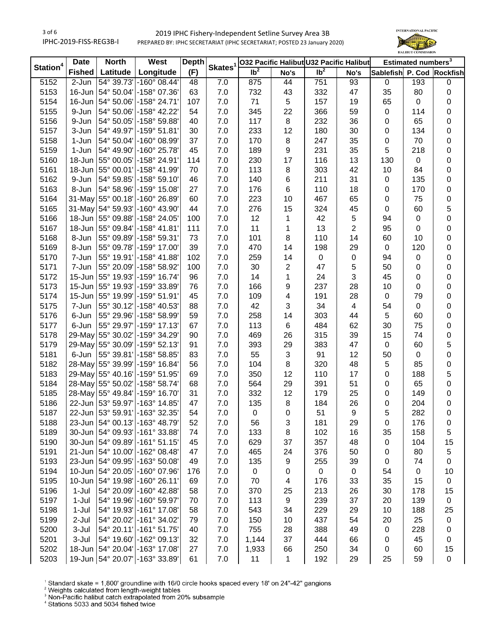

|             | <b>Date</b>   | <b>North</b><br>West |                                 | <b>Depth</b><br>Skates <sup>1</sup> |         | 032 Pacific Halibut U32 Pacific Halibut |              | Estimated numbers <sup>3</sup> |                |                  |                  |                 |
|-------------|---------------|----------------------|---------------------------------|-------------------------------------|---------|-----------------------------------------|--------------|--------------------------------|----------------|------------------|------------------|-----------------|
| Station $4$ | <b>Fished</b> | Latitude             | Longitude                       | (F)                                 |         | $\overline{\mathsf{lb}^2}$              | No's         | $\overline{\mathsf{lb}^2}$     | No's           | <b>Sablefish</b> |                  | P. Cod Rockfish |
| 5152        | 2-Jun         | 54° 39.73'           | $-160^{\circ}$ 08.44'           | 48                                  | 7.0     | 875                                     | 44           | $\overline{751}$               | 93             | 0                | 193              | 0               |
| 5153        |               |                      | 16-Jun 54° 50.04' - 158° 07.36' | 63                                  | 7.0     | 732                                     | 43           | 332                            | 47             | 35               | 80               | 0               |
| 5154        | 16-Jun        | 54° 50.06'           | -158° 24.71'                    | 107                                 | 7.0     | 71                                      | 5            | 157                            | 19             | 65               | $\mathbf 0$      | 0               |
| 5155        | 9-Jun         | 54° 50.06'           | $-158^{\circ}$ 42.22            | 54                                  | 7.0     | 345                                     | 22           | 366                            | 59             | $\mathsf 0$      | 114              | 0               |
| 5156        | 9-Jun         | 54° 50.05'           | -158° 59.88'                    | 40                                  | 7.0     | 117                                     | 8            | 232                            | 36             | 0                | 65               | 0               |
| 5157        | 3-Jun         | 54° 49.97'           | -159° 51.81'                    | 30                                  | 7.0     | 233                                     | 12           | 180                            | 30             | 0                | 134              | 0               |
| 5158        | 1-Jun         | 54° 50.04'           | $-160^{\circ}$ 08.99            | 37                                  | 7.0     | 170                                     | 8            | 247                            | 35             | $\pmb{0}$        | 70               | 0               |
| 5159        | 1-Jun         | 54° 49.90'           | -160° 25.78'                    | 45                                  | 7.0     | 189                                     | 9            | 231                            | 35             | 5                | 218              | 0               |
| 5160        | $18$ -Jun     | 55° 00.05'           | -158° 24.91'                    | 114                                 | 7.0     | 230                                     | 17           | 116                            | 13             | 130              | $\boldsymbol{0}$ | 0               |
| 5161        | 18-Jun        | 55° 00.01'           | -158° 41.99'                    | 70                                  | 7.0     | 113                                     | 8            | 303                            | 42             | 10               | 84               | 0               |
| 5162        | 9-Jun         | 54° 59.85'           | $-158°59.10'$                   | 46                                  | 7.0     | 140                                     | 6            | 211                            | 31             | $\pmb{0}$        | 135              | 0               |
| 5163        | 8-Jun         | 54° 58.96'           | -159° 15.08'                    | 27                                  | 7.0     | 176                                     | 6            | 110                            | 18             | $\pmb{0}$        | 170              | 0               |
| 5164        | 31-May        | 55° 00.18'           | -160° 26.89'                    | 60                                  | 7.0     | 223                                     | 10           | 467                            | 65             | $\pmb{0}$        | 75               | 0               |
| 5165        | 31-May        | 54° 59.93'           | -160° 43.90'                    | 44                                  | 7.0     | 276                                     | 15           | 324                            | 45             | $\pmb{0}$        | 60               | 5               |
| 5166        | 18-Jun        | 55° 09.88'           | -158° 24.05'                    | 100                                 | 7.0     | 12                                      | 1            | 42                             | $\mathbf 5$    | 94               | $\pmb{0}$        | 0               |
| 5167        | 18-Jun        | 55° 09.84'           | $-158^{\circ}$ 41.81            | 111                                 | 7.0     | 11                                      | 1            | 13                             | $\overline{2}$ | 95               | $\pmb{0}$        | 0               |
| 5168        | 8-Jun         | 55° 09.89'           | -158° 59.31'                    | 73                                  | 7.0     | 101                                     | 8            | 110                            | 14             | 60               | 10               | 0               |
| 5169        | 8-Jun         | 55° 09.78'           | -159° 17.00'                    | 39                                  | 7.0     | 470                                     | 14           | 198                            | 29             | $\mathbf 0$      | 120              | 0               |
| 5170        | 7-Jun         |                      | 55° 19.91' - 158° 41.88'        | 102                                 | 7.0     | 259                                     | 14           | $\pmb{0}$                      | 0              | 94               | $\mathbf 0$      | 0               |
| 5171        | 7-Jun         | 55° 20.09'           | -158° 58.92'                    | 100                                 | 7.0     | 30                                      | 2            | 47                             | 5              | 50               | 0                | 0               |
| 5172        | 15-Jun        | 55° 19.93'           | -159° 16.74'                    | 96                                  | 7.0     | 14                                      | 1            | 24                             | 3              | 45               | 0                | 0               |
| 5173        | 15-Jun        | 55° 19.93'           | -159° 33.89'                    | 76                                  | 7.0     | 166                                     | 9            | 237                            | 28             | 10               | 0                | 0               |
| 5174        | $15$ -Jun     | 55° 19.99'           | $-159°51.91'$                   | 45                                  | 7.0     | 109                                     | 4            | 191                            | 28             | $\mathsf 0$      | 79               | 0               |
| 5175        | 7-Jun         | 55° 30.12'           | -158° 40.53'                    | 88                                  | 7.0     | 42                                      | 3            | 34                             | $\overline{4}$ | 54               | $\pmb{0}$        | 0               |
| 5176        | 6-Jun         | 55° 29.96'           | -158° 58.99'                    | 59                                  | 7.0     | 258                                     | 14           | 303                            | 44             | 5                | 60               | 0               |
| 5177        | 6-Jun         | 55° 29.97'           | $-159°$ 17.13                   | 67                                  | 7.0     | 113                                     | 6            | 484                            | 62             | 30               | 75               | 0               |
| 5178        |               | 29-May 55° 30.02'    | -159° 34.29'                    | 90                                  | 7.0     | 469                                     | 26           | 315                            | 39             | 15               | 74               | 0               |
| 5179        |               | 29-May 55° 30.09'    | -159° 52.13'                    | 91                                  | 7.0     | 393                                     | 29           | 383                            | 47             | $\mathsf 0$      | 60               | 5               |
| 5181        | 6-Jun         | 55° 39.81'           | -158° 58.85'                    | 83                                  | 7.0     | 55                                      | 3            | 91                             | 12             | 50               | $\mathbf 0$      | 0               |
| 5182        | 28-May        | 55° 39.99'           | -159° 16.84'                    | 56                                  | 7.0     | 104                                     | $\,8\,$      | 320                            | 48             | 5                | 85               | 0               |
| 5183        |               | 29-May 55° 40.16'    | -159° 51.95'                    | 69                                  | 7.0     | 350                                     | 12           | 110                            | 17             | $\pmb{0}$        | 188              | 5               |
| 5184        |               | 28-May 55° 50.02'    | -158° 58.74'                    | 68                                  | 7.0     | 564                                     | 29           | 391                            | 51             | $\pmb{0}$        | 65               | 0               |
| 5185        |               |                      | 28-May 55° 49.84' - 159° 16.70' | 31                                  | 7.0     | 332                                     | 12           | 179                            | 25             | 0                | 149              | 0               |
| 5186        |               |                      | 22-Jun 53° 59.97' - 163° 14.85' | 47                                  | 7.0     | 135                                     | 8            | 184                            | 26             | 0                | 204              | 0               |
| 5187        |               |                      | 22-Jun 53° 59.91' - 163° 32.35' | 54                                  | 7.0     | 0                                       | 0            | 51                             | 9              | 5                | 282              | 0               |
| 5188        |               |                      | 23-Jun 54° 00.13' - 163° 48.79' | 52                                  | 7.0     | 56                                      | 3            | 181                            | 29             | 0                | 176              | 0               |
| 5189        |               |                      | 30-Jun 54° 09.93' - 161° 33.88' | 74                                  | 7.0     | 133                                     | 8            | 102                            | 16             | 35               | 158              | 5               |
| 5190        |               |                      | 30-Jun 54° 09.89' - 161° 51.15' | 45                                  | 7.0     | 629                                     | 37           | 357                            | 48             | $\pmb{0}$        | 104              | 15              |
| 5191        |               |                      | 21-Jun 54° 10.00' - 162° 08.48' | 47                                  | 7.0     | 465                                     | 24           | 376                            | 50             | 0                | 80               | 5               |
| 5193        |               |                      | 23-Jun 54° 09.95' - 163° 50.08' | 49                                  | 7.0     | 135                                     | 9            | 255                            | 39             | 0                | 74               | 0               |
| 5194        |               |                      | 10-Jun 54° 20.05' - 160° 07.96' | 176                                 | 7.0     | $\pmb{0}$                               | 0            | $\pmb{0}$                      | $\pmb{0}$      | 54               | $\pmb{0}$        | 10              |
| 5195        |               | 10-Jun   54° 19.98'  | $-160^{\circ}$ 26.11'           | 69                                  | 7.0     | 70                                      | 4            | 176                            | 33             | 35               | 15               | 0               |
| 5196        | $1-Jul$       |                      | 54° 20.09' - 160° 42.88'        | 58                                  | 7.0     | 370                                     | 25           | 213                            | 26             | 30               | 178              | 15              |
| 5197        | $1-Jul$       |                      | 54° 19.96' - 160° 59.97'        | 70                                  | 7.0     | 113                                     | 9            | 239                            | 37             | 20               | 139              | 0               |
| 5198        | $1-Jul$       |                      | 54° 19.93' - 161° 17.08'        | 58                                  | 7.0     | 543                                     | 34           | 229                            | 29             | 10               | 188              | 25              |
| 5199        | 2-Jul         | 54° 20.02'           | -161° 34.02'                    | 79                                  | 7.0     | 150                                     | 10           | 437                            | 54             | 20               | 25               | 0               |
| 5200        | 3-Jul         |                      | 54° 20.11' - 161° 51.75'        | 40                                  | 7.0     | 755                                     | 28           | 388                            | 49             | 0                | 228              | 0               |
| 5201        | 3-Jul         |                      | 54° 19.60' - 162° 09.13'        | 32                                  | 7.0     | 1,144                                   | 37           | 444                            | 66             | 0                | 45               | 0               |
| 5202        |               |                      | 18-Jun 54° 20.04' - 163° 17.08' | 27                                  | 7.0     | 1,933                                   | 66           | 250                            | 34             | $\pmb{0}$        | 60               | 15              |
| 5203        |               |                      | 19-Jun 54° 20.07' - 163° 33.89' | 61                                  | $7.0\,$ | 11                                      | $\mathbf{1}$ | 192                            | 29             | 25               | 59               | 0               |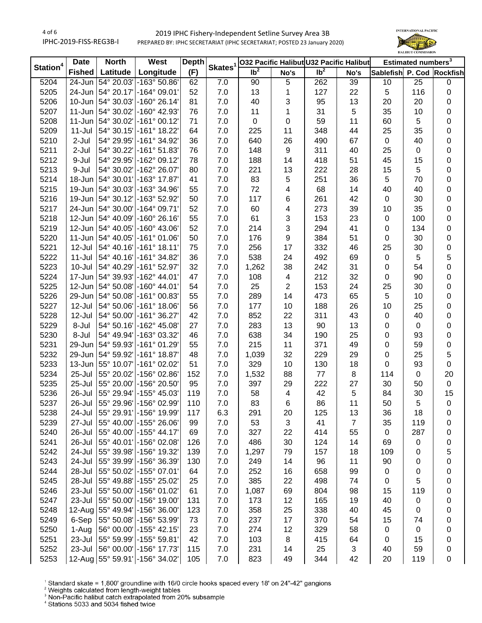

|                      | <b>Date</b>   | <b>North</b><br>West |                                 | <b>Depth</b> | Skates <sup>1</sup> |                   |      | 032 Pacific Halibut U32 Pacific Halibut | Estimated numbers <sup>3</sup> |                           |             |             |
|----------------------|---------------|----------------------|---------------------------------|--------------|---------------------|-------------------|------|-----------------------------------------|--------------------------------|---------------------------|-------------|-------------|
| Station <sup>4</sup> | <b>Fished</b> | <b>Latitude</b>      | Longitude                       | (F)          |                     | $\overline{1}b^2$ | No's | $\overline{1}b^2$                       | No's                           | Sablefish P. Cod Rockfish |             |             |
| 5204                 | 24-Jun        |                      | 54° 20.03' - 163° 50.86'        | 62           | 7.0                 | 90                | 5    | 262                                     | 39                             | 10                        | 25          | 0           |
| 5205                 |               |                      | 24-Jun 54° 20.17' - 164° 09.01' | 52           | 7.0                 | 13                | 1    | 127                                     | 22                             | $\overline{5}$            | 116         | 0           |
| 5206                 | 10-Jun        |                      | 54° 30.03' - 160° 26.14'        | 81           | 7.0                 | 40                | 3    | 95                                      | 13                             | 20                        | 20          | 0           |
| 5207                 | 11-Jun        |                      | 54° 30.02' - 160° 42.93'        | 76           | 7.0                 | 11                | 1    | 31                                      | 5                              | 35                        | 10          | 0           |
| 5208                 | 11-Jun        |                      | 54° 30.02' -161° 00.12'         | 71           | 7.0                 | $\mathbf 0$       | 0    | 59                                      | 11                             | 60                        | 5           | 0           |
| 5209                 | 11-Jul        |                      | 54° 30.15' - 161° 18.22'        | 64           | 7.0                 | 225               | 11   | 348                                     | 44                             | 25                        | 35          | 0           |
| 5210                 | 2-Jul         |                      | 54° 29.95' - 161° 34.92'        | 36           | 7.0                 | 640               | 26   | 490                                     | 67                             | $\mathsf 0$               | 40          | 0           |
| 5211                 | 2-Jul         |                      | 54° 30.22' - 161° 51.83'        | 76           | 7.0                 | 148               | 9    | 311                                     | 40                             | 25                        | $\mathbf 0$ | 0           |
| 5212                 | 9-Jul         | 54° 29.95'           | -162° 09.12'                    | 78           | 7.0                 | 188               | 14   | 418                                     | 51                             | 45                        | 15          | 0           |
| 5213                 | 9-Jul         | 54° 30.02'           | -162° 26.07'                    | 80           | 7.0                 | 221               | 13   | 222                                     | 28                             | 15                        | 5           | 0           |
| 5214                 | 18-Jun        | 54° 30.01'           | -163° 17.87'                    | 41           | 7.0                 | 83                | 5    | 251                                     | 36                             | 5                         | 70          | $\pmb{0}$   |
| 5215                 | 19-Jun        | 54° 30.03'           | -163° 34.96'                    | 55           | 7.0                 | 72                | 4    | 68                                      | 14                             | 40                        | 40          | $\pmb{0}$   |
| 5216                 | 19-Jun        | 54° 30.12'           | -163° 52.92'                    | 50           | 7.0                 | 117               | 6    | 261                                     | 42                             | $\mathsf 0$               | 30          | 0           |
| 5217                 | 24-Jun        | 54° 30.00'           | $-164^{\circ}$ 09.71'           | 52           | 7.0                 | 60                | 4    | 273                                     | 39                             | 10                        | 35          | 0           |
| 5218                 | 12-Jun        | 54° 40.09'           | $-160^{\circ} 26.16'$           | 55           | 7.0                 | 61                | 3    | 153                                     | 23                             | $\mathbf 0$               | 100         | 0           |
| 5219                 | 12-Jun        |                      | 54° 40.05' -160° 43.06'         | 52           | 7.0                 | 214               | 3    | 294                                     | 41                             | $\pmb{0}$                 | 134         | 0           |
| 5220                 | 11-Jun        |                      | 54° 40.05' -161° 01.06'         | 50           | 7.0                 | 176               | 9    | 384                                     | 51                             | 0                         | 30          | 0           |
| 5221                 | 12-Jul        |                      | 54° 40.16' - 161° 18.11'        | 75           | 7.0                 | 256               | 17   | 332                                     | 46                             | 25                        | 30          | 0           |
| 5222                 | $11 -$ Jul    |                      | 54° 40.16' - 161° 34.82'        | 36           | 7.0                 | 538               | 24   | 492                                     | 69                             | $\pmb{0}$                 | 5           | 5           |
| 5223                 | $10 -$ Jul    |                      | 54° 40.29' - 161° 52.97'        | 32           | 7.0                 | 1,262             | 38   | 242                                     | 31                             | $\pmb{0}$                 | 54          | $\pmb{0}$   |
| 5224                 | 17-Jun        |                      | 54° 39.93' -162° 44.01'         | 47           | 7.0                 | 108               | 4    | 212                                     | 32                             | $\pmb{0}$                 | 90          | 0           |
| 5225                 |               |                      | 12-Jun 54° 50.08' - 160° 44.01' | 54           | 7.0                 | 25                | 2    | 153                                     | 24                             | 25                        | 30          | 0           |
| 5226                 |               |                      | 29-Jun 54° 50.08' - 161° 00.83' | 55           | 7.0                 | 289               | 14   | 473                                     | 65                             | $\overline{5}$            | 10          | 0           |
| 5227                 | 12-Jul        |                      | 54° 50.06' - 161° 18.06'        | 56           | 7.0                 | 177               | 10   | 188                                     | 26                             | 10                        | 25          | 0           |
| 5228                 | 12-Jul        |                      | 54° 50.00' - 161° 36.27'        | 42           | 7.0                 | 852               | 22   | 311                                     | 43                             | $\mathsf 0$               | 40          | 0           |
| 5229                 | 8-Jul         | 54° 50.16'           | -162° 45.08'                    | 27           | 7.0                 | 283               | 13   | 90                                      | 13                             | $\pmb{0}$                 | $\mathsf 0$ | 0           |
| 5230                 | 8-Jul         |                      | 54° 49.94' - 163° 03.32'        | 46           | 7.0                 | 638               | 34   | 190                                     | 25                             | $\pmb{0}$                 | 93          | 0           |
| 5231                 | 29-Jun        |                      | 54° 59.93' -161° 01.29'         | 55           | 7.0                 | 215               | 11   | 371                                     | 49                             | $\pmb{0}$                 | 59          | $\pmb{0}$   |
| 5232                 | 29-Jun        |                      | 54° 59.92' -161° 18.87'         | 48           | 7.0                 | 1,039             | 32   | 229                                     | 29                             | $\pmb{0}$                 | 25          | 5           |
| 5233                 | 13-Jun        |                      | 55° 10.07' - 161° 02.02'        | 51           | 7.0                 | 329               | 10   | 130                                     | 18                             | $\mathsf 0$               | 93          | $\mathbf 0$ |
| 5234                 | 25-Jul        | 55° 20.02'           | -156° 02.86'                    | 152          | 7.0                 | 1,532             | 88   | 77                                      | 8                              | 114                       | 0           | 20          |
| 5235                 | 25-Jul        | 55° 20.00'           | -156° 20.50'                    | 95           | 7.0                 | 397               | 29   | 222                                     | 27                             | 30                        | 50          | $\mathbf 0$ |
| 5236                 | 26-Jul        |                      | 55° 29.94' - 155° 45.03'        | 119          | 7.0                 | 58                | 4    | 42                                      | $\sqrt{5}$                     | 84                        | 30          | 15          |
| 5237                 | 26-Jul        |                      | 55° 29.96' - 156° 02.99'        | 110          | 7.0                 | 83                | 6    | 86                                      | 11                             | 50                        | 5           | $\pmb{0}$   |
| 5238                 | 24-Jul        |                      | 55° 29.91' - 156° 19.99         | 117          | 6.3                 | 291               | 20   | 125                                     | 13                             | 36                        | 18          | 0           |
| 5239                 | 27-Jul        |                      | 55° 40.00' - 155° 26.06'        | 99           | 7.0                 | 53                | 3    | 41                                      | $\overline{7}$                 | 35                        | 119         | 0           |
| 5240                 | 26-Jul        |                      | 55° 40.00' - 155° 44.17'        | 69           | 7.0                 | 327               | 22   | 414                                     | 55                             | $\mathbf 0$               | 287         | 0           |
| 5241                 | 26-Jul        |                      | 55° 40.01' - 156° 02.08'        | 126          | 7.0                 | 486               | 30   | 124                                     | 14                             | 69                        | 0           | 0           |
| 5242                 | 24-Jul        |                      | 55° 39.98' - 156° 19.32'        | 139          | 7.0                 | 1,297             | 79   | 157                                     | 18                             | 109                       | 0           | 5           |
| 5243                 | 24-Jul        |                      | 55° 39.99' - 156° 36.39'        | 130          | 7.0                 | 249               | 14   | 96                                      | 11                             | 90                        | 0           | 0           |
| 5244                 | 28-Jul        |                      | 55° 50.02' - 155° 07.01'        | 64           | 7.0                 | 252               | 16   | 658                                     | 99                             | $\pmb{0}$                 | 0           | 0           |
| 5245                 | 28-Jul        |                      | 55° 49.88' - 155° 25.02'        | 25           | 7.0                 | 385               | 22   | 498                                     | 74                             | 0                         | 5           | 0           |
| 5246                 | 23-Jul        |                      | 55° 50.00' - 156° 01.02'        | 61           | 7.0                 | 1,087             | 69   | 804                                     | 98                             | 15                        | 119         | 0           |
| 5247                 | 23-Jul        |                      | 55° 50.00' -156° 19.00'         | 131          | 7.0                 | 173               | 12   | 165                                     | 19                             | 40                        | 0           | 0           |
| 5248                 |               |                      | 12-Aug 55° 49.94' - 156° 36.00' | 123          | 7.0                 | 358               | 25   | 338                                     | 40                             | 45                        | 0           |             |
| 5249                 | 6-Sep         |                      | 55° 50.08' - 156° 53.99'        | 73           | 7.0                 | 237               | 17   | 370                                     | 54                             | 15                        | 74          | 0<br>0      |
| 5250                 | 1-Aug         |                      | 56° 00.00' - 155° 42.15'        | 23           | 7.0                 | 274               | 12   | 329                                     | 58                             | 0                         | 0           | 0           |
| 5251                 | 23-Jul        |                      | 55° 59.99' - 155° 59.81'        | 42           | 7.0                 | 103               | 8    | 415                                     | 64                             | 0                         | 15          |             |
| 5252                 | 23-Jul        |                      | 56° 00.00' - 156° 17.73'        | 115          | 7.0                 | 231               | 14   | 25                                      | 3                              | 40                        | 59          | 0<br>0      |
| 5253                 |               |                      | 12-Aug 55° 59.91' - 156° 34.02' | 105          | 7.0                 | 823               | 49   | 344                                     | 42                             | 20                        | 119         | 0           |
|                      |               |                      |                                 |              |                     |                   |      |                                         |                                |                           |             |             |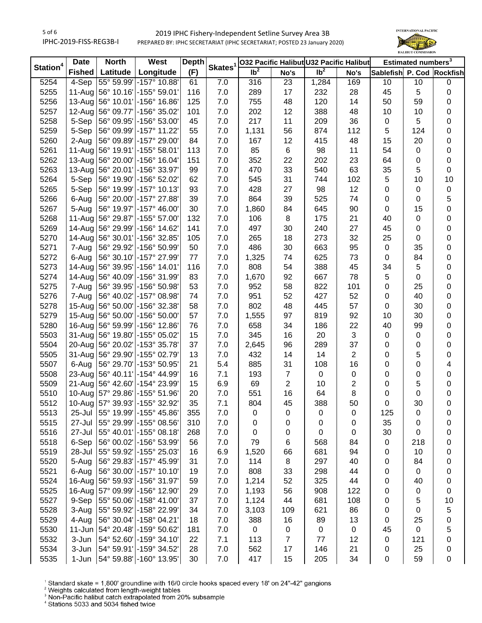

|                      | <b>Date</b>   | West<br><b>North</b> |                                     | <b>Depth</b> |                     | 032 Pacific Halibut U32 Pacific Halibut |                |                   |                |                           |     | Estimated numbers <sup>3</sup> |  |
|----------------------|---------------|----------------------|-------------------------------------|--------------|---------------------|-----------------------------------------|----------------|-------------------|----------------|---------------------------|-----|--------------------------------|--|
| Station <sup>4</sup> | <b>Fished</b> | Latitude $ $         | Longitude                           | (F)          | Skates <sup>1</sup> | $\overline{\mathsf{lb}^2}$              | No's           | $\overline{1}b^2$ | No's           | Sablefish P. Cod Rockfish |     |                                |  |
| 5254                 | $4-$ Sep      |                      | 55° 59.99' - 157° 10.88'            | 61           | 7.0                 | 316                                     | 23             | 1,284             | 169            | 10                        | 10  | 0                              |  |
| 5255                 |               |                      | 11-Aug 56° 10.16' - 155° 59.01'     | 116          | 7.0                 | 289                                     | 17             | 232               | 28             | 45                        | 5   | 0                              |  |
| 5256                 | 13-Aug        |                      | 56° 10.01' -156° 16.86'             | 125          | 7.0                 | 755                                     | 48             | 120               | 14             | 50                        | 59  | 0                              |  |
| 5257                 | 12-Aug        |                      | 56° 09.77' - 156° 35.02'            | 101          | 7.0                 | 202                                     | 12             | 388               | 48             | 10                        | 10  | 0                              |  |
| 5258                 | 5-Sep         |                      | 56° 09.95' - 156° 53.00'            | 45           | 7.0                 | 217                                     | 11             | 209               | 36             | 0                         | 5   | 0                              |  |
| 5259                 | 5-Sep         |                      | 56° 09.99' - 157° 11.22'            | 55           | 7.0                 | 1,131                                   | 56             | 874               | 112            | 5                         | 124 | 0                              |  |
| 5260                 | 2-Aug         |                      | 56° 09.89' - 157° 29.00'            | 84           | 7.0                 | 167                                     | 12             | 415               | 48             | 15                        | 20  | 0                              |  |
| 5261                 |               |                      | 11-Aug 56° 19.91' - 155° 58.01'     | 113          | 7.0                 | 85                                      | 6              | 98                | 11             | 54                        | 0   | 0                              |  |
| 5262                 |               |                      | 13-Aug 56° 20.00' - 156° 16.04'     | 151          | 7.0                 | 352                                     | 22             | 202               | 23             | 64                        | 0   | 0                              |  |
| 5263                 |               |                      | 13-Aug 56° 20.01' - 156° 33.97'     | 99           | 7.0                 | 470                                     | 33             | 540               | 63             | 35                        | 5   | $\pmb{0}$                      |  |
| 5264                 | 5-Sep         |                      | 56° 19.90' - 156° 52.02'            | 62           | 7.0                 | 545                                     | 31             | 744               | 102            | 5                         | 10  | 10                             |  |
| 5265                 | 5-Sep         |                      | 56° 19.99' - 157° 10.13'            | 93           | 7.0                 | 428                                     | 27             | 98                | 12             | $\pmb{0}$                 | 0   | 0                              |  |
| 5266                 | 6-Aug         |                      | 56° 20.00' - 157° 27.88'            | 39           | 7.0                 | 864                                     | 39             | 525               | 74             | $\pmb{0}$                 | 0   | 5                              |  |
| 5267                 | 5-Aug         |                      | 56° 19.97' - 157° 46.00'            | 30           | 7.0                 | 1,860                                   | 84             | 645               | 90             | $\pmb{0}$                 | 15  | $\pmb{0}$                      |  |
| 5268                 | 11-Aug        |                      | 56° 29.87' - 155° 57.00'            | 132          | 7.0                 | 106                                     | 8              | 175               | 21             | 40                        | 0   | 0                              |  |
| 5269                 | 14-Aug        |                      | 56° 29.99' - 156° 14.62'            | 141          | 7.0                 | 497                                     | 30             | 240               | 27             | 45                        | 0   | 0                              |  |
| 5270                 | 14-Aug        |                      | 56° 30.01' - 156° 32.85'            | 105          | $7.0$               | 265                                     | 18             | 273               | 32             | 25                        | 0   | 0                              |  |
| 5271                 | 7-Aug         |                      | 56° 29.92' - 156° 50.99'            | 50           | 7.0                 | 486                                     | 30             | 663               | 95             | 0                         | 35  | 0                              |  |
| 5272                 | 6-Aug         |                      | 56° 30.10' - 157° 27.99'            | 77           | 7.0                 | 1,325                                   | 74             | 625               | 73             | 0                         | 84  | 0                              |  |
| 5273                 | 14-Aug        |                      | 56° 39.95' - 156° 14.01'            | 116          | 7.0                 | 808                                     | 54             | 388               | 45             | 34                        | 5   | 0                              |  |
| 5274                 | 14-Aug        |                      | 56° 40.09' - 156° 31.99'            | 83           | 7.0                 | 1,670                                   | 92             | 667               | 78             | 5                         | 0   | 0                              |  |
| 5275                 | 7-Aug         |                      | 56° 39.95' - 156° 50.98'            | 53           | 7.0                 | 952                                     | 58             | 822               | 101            | 0                         | 25  | 0                              |  |
| 5276                 | 7-Aug         |                      | 56° 40.02' - 157° 08.98'            | 74           | 7.0                 | 951                                     | 52             | 427               | 52             | 0                         | 40  | 0                              |  |
| 5278                 |               |                      | 15-Aug 56° 50.00' - 156° 32.38'     | 58           | 7.0                 | 802                                     | 48             | 445               | 57             | $\pmb{0}$                 | 30  | 0                              |  |
| 5279                 |               |                      | 15-Aug 56° 50.00' - 156° 50.00'     | 57           | 7.0                 | 1,555                                   | 97             | 819               | 92             | 10                        | 30  | 0                              |  |
| 5280                 |               |                      | 16-Aug 56° 59.99' - 156° 12.86'     | 76           | 7.0                 | 658                                     | 34             | 186               | 22             | 40                        | 99  | 0                              |  |
| 5503                 |               |                      | 31-Aug 56° 19.80' - 155° 05.02'     | 15           | 7.0                 | 345                                     | 16             | 20                | 3              | $\pmb{0}$                 | 0   | 0                              |  |
| 5504                 |               |                      | 20-Aug 56° 20.02' - 153° 35.78'     | 37           | 7.0                 | 2,645                                   | 96             | 289               | 37             | $\pmb{0}$                 | 0   | $\pmb{0}$                      |  |
| 5505                 | 31-Aug        |                      | 56° 29.90' - 155° 02.79'            | 13           | 7.0                 | 432                                     | 14             | 14                | $\overline{2}$ | $\pmb{0}$                 | 5   | $\pmb{0}$                      |  |
| 5507                 | 6-Aug         |                      | 56° 29.70' - 153° 50.95'            | 21           | 5.4                 | 885                                     | 31             | 108               | 16             | $\pmb{0}$                 | 0   | 4                              |  |
| 5508                 | 23-Aug        |                      | 56° 40.11' -154° 44.99'             | 16           | 7.1                 | 193                                     | $\overline{7}$ | $\pmb{0}$         | $\pmb{0}$      | $\pmb{0}$                 | 0   | 0                              |  |
| 5509                 | 21-Aug        |                      | 56° 42.60' - 154° 23.99'            | 15           | 6.9                 | 69                                      | $\overline{2}$ | 10                | $\overline{c}$ | 0                         | 5   | 0                              |  |
| 5510                 |               |                      | 10-Aug   57° 29.86'   - 155° 51.96' | 20           | 7.0                 | 551                                     | 16             | 64                | 8              | 0                         | 0   | 0                              |  |
| 5512                 |               |                      | 10-Aug   57° 39.93'   - 155° 32.92' | 35           | 7.1                 | 804                                     | 45             | 388               | 50             | 0                         | 30  | 0                              |  |
| 5513                 | 25-Jul        |                      | 55° 19.99' - 155° 45.86             | 355          | 7.0                 | 0                                       | 0              | 0                 | 0              | 125                       | 0   | 0                              |  |
| 5515                 | 27-Jul        |                      | 55° 29.99' - 155° 08.56'            | 310          | 7.0                 | 0                                       | 0              | 0                 | 0              | 35                        | 0   | 0                              |  |
| 5516                 | 27-Jul        |                      | 55° 40.01' - 155° 08.18'            | 268          | 7.0                 | 0                                       | 0              | 0                 | 0              | 30                        | 0   | 0                              |  |
| 5518                 | 6-Sep         |                      | 56° 00.02' - 156° 53.99'            | 56           | 7.0                 | 79                                      | 6              | 568               | 84             | 0                         | 218 | 0                              |  |
| 5519                 | 28-Jul        |                      | 55° 59.92' - 155° 25.03'            | 16           | 6.9                 | 1,520                                   | 66             | 681               | 94             | 0                         | 10  | 0                              |  |
| 5520                 | 5-Aug         |                      | 56° 29.83' - 157° 45.99'            | 31           | 7.0                 | 114                                     | 8              | 297               | 40             | 0                         | 84  | 0                              |  |
| 5521                 | 6-Aug         |                      | 56° 30.00' - 157° 10.10'            | 19           | 7.0                 | 808                                     | 33             | 298               | 44             | 0                         | 0   | 0                              |  |
| 5524                 |               |                      | 16-Aug 56° 59.93' - 156° 31.97'     | 59           | 7.0                 | 1,214                                   | 52             | 325               | 44             | 0                         | 40  | 0                              |  |
| 5525                 |               |                      | 16-Aug   57° 09.99'   - 156° 12.90' | 29           | 7.0                 | 1,193                                   |                | 908               | 122            | 0                         |     | 0                              |  |
|                      |               |                      | 55° 50.06' - 158° 41.00'            | 37           |                     |                                         | 56             |                   |                |                           | 0   |                                |  |
| 5527                 | 9-Sep         |                      |                                     |              | 7.0                 | 1,124                                   | 44             | 681               | 108            | 0                         | 5   | 10                             |  |
| 5528                 | 3-Aug         |                      | 55° 59.92' - 158° 22.99'            | 34           | 7.0                 | 3,103                                   | 109            | 621               | 86             | 0                         | 0   | 5                              |  |
| 5529                 | 4-Aug         |                      | 56° 30.04' - 158° 04.21'            | 18           | 7.0                 | 388                                     | 16             | 89                | 13             | 0                         | 25  | 0                              |  |
| 5530                 | $11$ -Jun     |                      | 54° 20.48' -159° 50.62'             | 181          | 7.0                 | $\pmb{0}$                               | 0              | $\pmb{0}$         | $\pmb{0}$      | 45                        | 0   | 5                              |  |
| 5532                 | 3-Jun         |                      | 54° 52.60' - 159° 34.10'            | 22           | 7.1                 | 113                                     | $\overline{7}$ | 77                | 12             | 0                         | 121 | 0                              |  |
| 5534                 | 3-Jun         |                      | 54° 59.91' - 159° 34.52'            | 28           | 7.0                 | 562                                     | 17             | 146               | 21             | 0                         | 25  | 0                              |  |
| 5535                 | 1-Jun         |                      | 54° 59.88' -160° 13.95'             | 30           | 7.0                 | 417                                     | 15             | 205               | 34             | 0                         | 59  | 0                              |  |